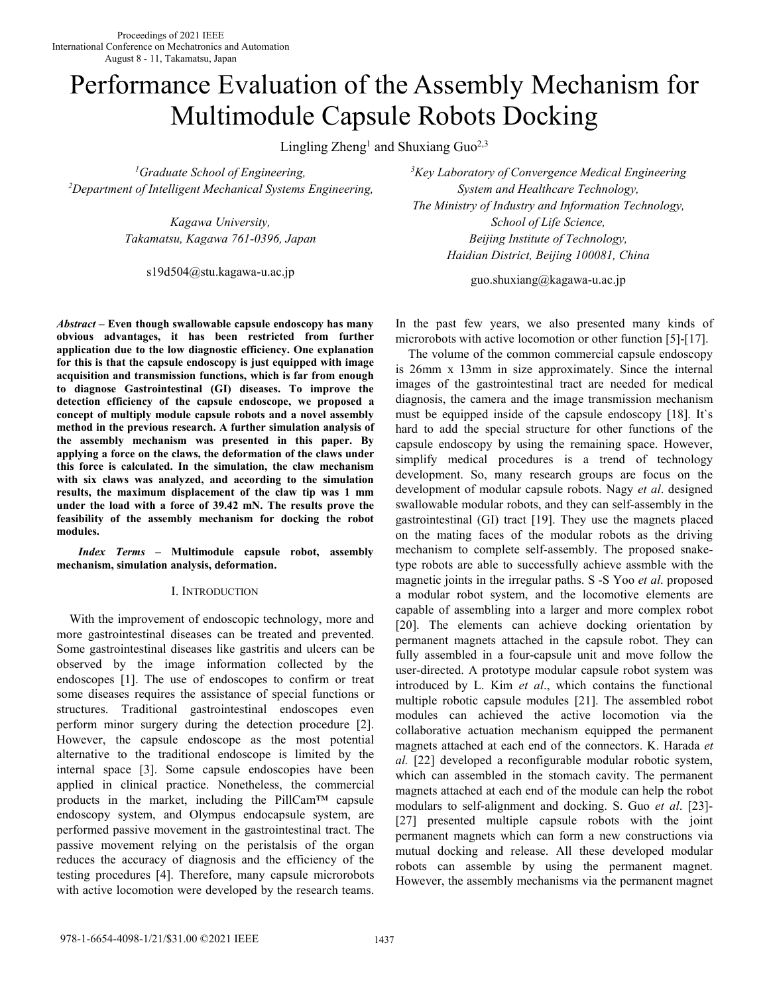# Performance Evaluation of the Assembly Mechanism for Multimodule Capsule Robots Docking

Lingling Zheng<sup>1</sup> and Shuxiang Guo<sup>2,3</sup>

*<sup>2</sup>Department of Intelligent Mechanical Systems Engineering, System and Healthcare Technology,*

s19d504@stu.kagawa-u.ac.jp

*Abstract* **– Even though swallowable capsule endoscopy has many obvious advantages, it has been restricted from further application due to the low diagnostic efficiency. One explanation for this is that the capsule endoscopy is just equipped with image acquisition and transmission functions, which is far from enough to diagnose Gastrointestinal (GI) diseases. To improve the detection efficiency of the capsule endoscope, we proposed a concept of multiply module capsule robots and a novel assembly method in the previous research. A further simulation analysis of the assembly mechanism was presented in this paper. By applying a force on the claws, the deformation of the claws under this force is calculated. In the simulation, the claw mechanism with six claws was analyzed, and according to the simulation results, the maximum displacement of the claw tip was 1 mm under the load with a force of 39.42 mN. The results prove the feasibility of the assembly mechanism for docking the robot modules.**

*Index Terms –* **Multimodule capsule robot, assembly mechanism, simulation analysis, deformation.**

#### I. INTRODUCTION

With the improvement of endoscopic technology, more and more gastrointestinal diseases can be treated and prevented. Some gastrointestinal diseases like gastritis and ulcers can be observed by the image information collected by the endoscopes [1]. The use of endoscopes to confirm or treat some diseases requires the assistance of special functions or structures. Traditional gastrointestinal endoscopes even perform minor surgery during the detection procedure [2]. However, the capsule endoscope as the most potential alternative to the traditional endoscope is limited by the internal space [3]. Some capsule endoscopies have been applied in clinical practice. Nonetheless, the commercial products in the market, including the PillCam™ capsule endoscopy system, and Olympus endocapsule system, are performed passive movement in the gastrointestinal tract. The passive movement relying on the peristalsis of the organ reduces the accuracy of diagnosis and the efficiency of the testing procedures [4]. Therefore, many capsule microrobots with active locomotion were developed by the research teams.

*<sup>1</sup>Graduate School of Engineering, <sup>3</sup>Key Laboratory of Convergence Medical Engineering The Ministry of Industry and Information Technology, Kagawa University,*<br>Takamatsu, *Kagawa* 761-0396, Japan<br>Beijing *Institute of Technology*, *Haidian District, Beijing 100081, China*

guo.shuxiang@kagawa-u.ac.jp

In the past few years, we also presented many kinds of microrobots with active locomotion or other function [5]-[17].

The volume of the common commercial capsule endoscopy is 26mm x 13mm in size approximately. Since the internal images of the gastrointestinal tract are needed for medical diagnosis, the camera and the image transmission mechanism must be equipped inside of the capsule endoscopy [18]. It`s hard to add the special structure for other functions of the capsule endoscopy by using the remaining space. However, simplify medical procedures is a trend of technology development. So, many research groups are focus on the development of modular capsule robots. Nagy *et al*. designed swallowable modular robots, and they can self-assembly in the gastrointestinal (GI) tract [19]. They use the magnets placed on the mating faces of the modular robots as the driving mechanism to complete self-assembly. The proposed snaketype robots are able to successfully achieve assmble with the magnetic joints in the irregular paths. S -S Yoo *et al*. proposed a modular robot system, and the locomotive elements are capable of assembling into a larger and more complex robot [20]. The elements can achieve docking orientation by permanent magnets attached in the capsule robot. They can fully assembled in a four-capsule unit and move follow the user-directed. A prototype modular capsule robot system was introduced by L. Kim *et al*., which contains the functional multiple robotic capsule modules [21]. The assembled robot modules can achieved the active locomotion via the collaborative actuation mechanism equipped the permanent magnets attached at each end of the connectors. K. Harada *et al.* [22] developed a reconfigurable modular robotic system, which can assembled in the stomach cavity. The permanent magnets attached at each end of the module can help the robot modulars to self-alignment and docking. S. Guo *et al*. [23]- [27] presented multiple capsule robots with the joint permanent magnets which can form a new constructions via mutual docking and release. All these developed modular robots can assemble by using the permanent magnet. However, the assembly mechanisms via the permanent magnet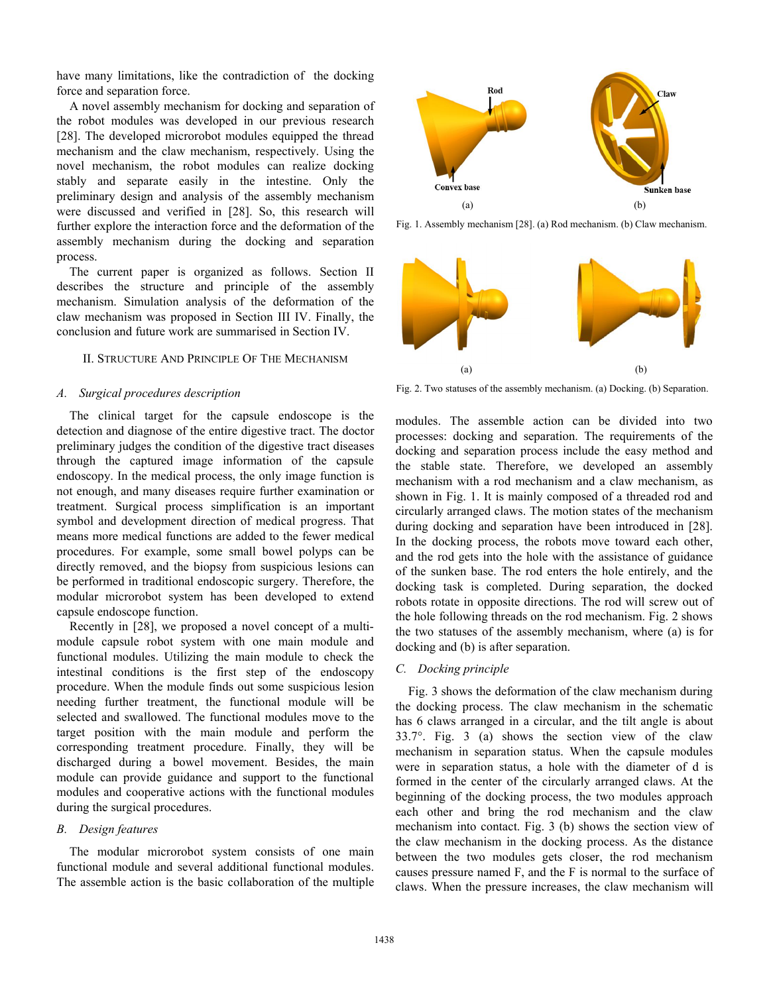have many limitations, like the contradiction of the docking force and separation force.

A novel assembly mechanism for docking and separation of the robot modules was developed in our previous research [28]. The developed microrobot modules equipped the thread mechanism and the claw mechanism, respectively. Using the novel mechanism, the robot modules can realize docking stably and separate easily in the intestine. Only the Convex base preliminary design and analysis of the assembly mechanism were discussed and verified in [28]. So, this research will further explore the interaction force and the deformation of the assembly mechanism during the docking and separation process.

The current paper is organized as follows. Section II describes the structure and principle of the assembly mechanism. Simulation analysis of the deformation of the claw mechanism was proposed in Section III IV. Finally, the conclusion and future work are summarised in Section IV.

## II. STRUCTURE AND PRINCIPLE OF THE MECHANISM

#### *A. Surgical procedures description*

The clinical target for the capsule endoscope is the detection and diagnose of the entire digestive tract. The doctor preliminary judges the condition of the digestive tract diseases through the captured image information of the capsule endoscopy. In the medical process, the only image function is not enough, and many diseases require further examination or treatment. Surgical process simplification is an important symbol and development direction of medical progress. That means more medical functions are added to the fewer medical procedures. For example, some small bowel polyps can be directly removed, and the biopsy from suspicious lesions can be performed in traditional endoscopic surgery. Therefore, the modular microrobot system has been developed to extend capsule endoscope function.

Recently in [28], we proposed a novel concept of a multi module capsule robot system with one main module and functional modules. Utilizing the main module to check the intestinal conditions is the first step of the endoscopy procedure. When the module finds out some suspicious lesion needing further treatment, the functional module will be selected and swallowed. The functional modules move to the target position with the main module and perform the corresponding treatment procedure. Finally, they will be discharged during abowel movement. Besides, the main module can provide guidance and support to the functional modules and cooperative actions with the functional modules during the surgical procedures.

### *B. Design features*

The modular microrobot system consists of one main functional module and several additional functional modules. The assemble action is the basic collaboration of the multiple



Fig. 1. Assembly mechanism [28]. (a) Rod mechanism. (b) Claw mechanism.



Fig. 2. Two statuses of the assembly mechanism. (a) Docking. (b) Separation.

modules. The assemble action can be divided into two processes: docking and separation. The requirements of the docking and separation process include the easy method and the stable state. Therefore, we developed an assembly mechanism with a rod mechanism and a claw mechanism, as shown in Fig. 1. It is mainly composed of a threaded rod and circularly arranged claws. The motion states of the mechanism during docking and separation have been introduced in [28]. In the docking process, the robots move toward each other, and the rod gets into the hole with the assistance of guidance of the sunken base. The rod enters the hole entirely, and the docking task is completed. During separation, the docked robots rotate in opposite directions. The rod will screw out of the hole following threads on the rod mechanism. Fig. 2 shows the two statuses of the assembly mechanism, where (a) is for docking and (b) is after separation.

#### *C. Docking principle*

Fig. 3 shows the deformation of the claw mechanism during the docking process. The claw mechanism in the schematic has 6 claws arranged in a circular, and the tilt angle is about 33.7°. Fig. 3 (a) shows the section view of the claw mechanism in separation status. When the capsule modules were in separation status, a hole with the diameter of d is formed in the center of the circularly arranged claws. At the beginning of the docking process, the two modules approach each other and bring the rod mechanism and the claw mechanism into contact. Fig. 3 (b) shows the section view of the claw mechanism in the docking process. As the distance between the two modules gets closer, the rod mechanism causes pressure named F, and the F is normal to the surface of claws. When the pressure increases, the claw mechanism will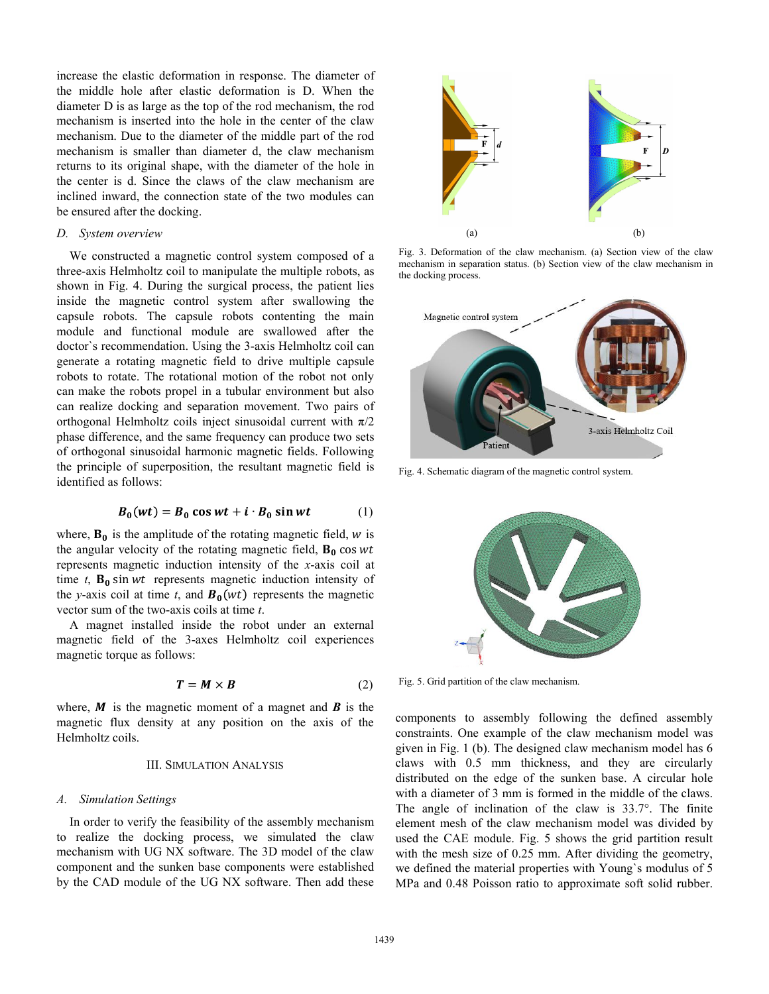increase the elastic deformation in response. The diameter of the middle hole after elastic deformation is D. When the diameter D is as large as the top of the rod mechanism, the rod mechanism is inserted into the hole in the center of the claw mechanism. Due to the diameter of the middle part of the rod mechanism is smaller than diameter d, the claw mechanism returns to its original shape, with the diameter of the hole in the center is d. Since the claws of the claw mechanism are inclined inward, the connection state of the two modules can be ensured after the docking.

### *D. System overview*

We constructed a magnetic control system composed of a three-axis Helmholtz coil to manipulate the multiple robots, as shown in Fig. 4. During the surgical process, the patient lies inside the magnetic control system after swallowing the capsule robots. The capsule robots contenting the main module and functional module are swallowed after the doctor`s recommendation. Using the 3-axis Helmholtz coil can generate a rotating magnetic field to drive multiple capsule robots to rotate. The rotational motion of the robot not only can make the robots propel in a tubular environment but also can realize docking and separation movement. Two pairs of orthogonal Helmholtz coils inject sinusoidal current with  $\pi/2$ phase difference, and the same frequency can produce two sets of orthogonal sinusoidal harmonic magnetic fields. Following the principle of superposition, the resultant magnetic field is identified as follows:

$$
B_0(wt) = B_0 \cos wt + i \cdot B_0 \sin wt \qquad (1)
$$

where,  $\mathbf{B}_0$  is the amplitude of the rotating magnetic field, w is the angular velocity of the rotating magnetic field,  $B_0$  cos wt represents magnetic induction intensity of the *x*-axis coil at time  $t$ ,  $\mathbf{B}_0$  sin  $wt$  represents magnetic induction intensity of the *y*-axis coil at time *t*, and  $\mathbf{B}_0(wt)$  represents the magnetic vector sum of the two-axis coils at time *t*.

A magnet installed inside the robot under an external magnetic field of the 3-axes Helmholtz coil experiences magnetic torque as follows:

$$
T = M \times B \tag{2}
$$
 Fig. 5. Grid p

where,  $\bm{M}$  is the magnetic moment of a magnet and  $\bm{B}$  is the magnetic flux density at any position on the axis of the Helmholtz coils.

#### III. SIMULATION ANALYSIS

#### *A. Simulation Settings*

In order to verify the feasibility of the assembly mechanism to realize the docking process, we simulated the claw mechanism with UG NX software. The 3D model of the claw component and the sunken base components were established by the CAD module of the UG NX software. Then add these



Fig. 3. Deformation of the claw mechanism. (a) Section view of the claw mechanism in separation status. (b) Section view of the claw mechanism in the docking process.



Fig. 4. Schematic diagram of the magnetic control system.



Fig. 5. Grid partition of the claw mechanism.

components to assembly following the defined assembly constraints. One example of the claw mechanism model was given in Fig. 1 (b). The designed claw mechanism model has 6 claws with 0.5 mm thickness, and they are circularly distributed on the edge of the sunken base. A circular hole with a diameter of 3 mm is formed in the middle of the claws. The angle of inclination of the claw is 33.7°. The finite element mesh of the claw mechanism model was divided by used the CAE module. Fig. 5 shows the grid partition result with the mesh size of 0.25 mm. After dividing the geometry, we defined the material properties with Young`s modulus of 5 MPa and 0.48 Poisson ratio to approximate soft solid rubber.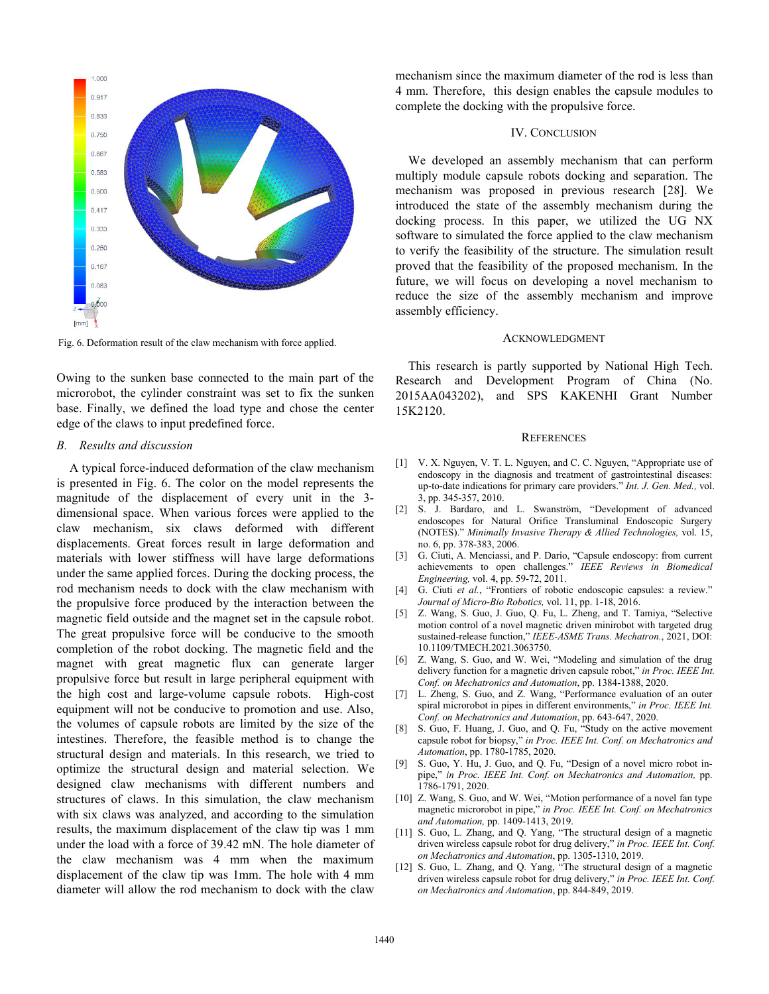

Fig. 6. Deformation result of the claw mechanism with force applied.

Owing to the sunken base connected to the main part of the microrobot, the cylinder constraint was set to fix the sunken base. Finally, we defined the load type and chose the center edge of the claws to input predefined force.

#### *B. Results and discussion*

A typical force-induced deformation of the claw mechanism is presented in Fig. 6. The color on the model represents the magnitude of the displacement of every unit in the 3 dimensional space. When various forces were applied to the claw mechanism, six claws deformed with different displacements. Great forces result in large deformation and materials with lower stiffness will have large deformations [3] under the same applied forces. During the docking process, the rod mechanism needs to dock with the claw mechanism with the propulsive force produced by the interaction between the magnetic field outside and the magnet set in the capsule robot. The great propulsive force will be conducive to the smooth completion of the robot docking. The magnetic field and the<br>magnetic right contains the company of the magnetic language [6] magnet with great magnetic flux can generate larger propulsive force but result in large peripheral equipment with the high cost and large-volume capsule robots. High-cost equipment will not be conducive to promotion and use. Also, the volumes of capsule robots are limited by the size of the  $_{[8]}$ intestines. Therefore, the feasible method is to change the structural design and materials. In this research, we tried to optimize the structural design and material selection. We designed claw mechanisms with different numbers and structures of claws. In this simulation, the claw mechanism with six claws was analyzed, and according to the simulation results, the maximum displacement of the claw tip was 1 mm under the load with a force of 39.42 mN. The hole diameter of the claw mechanism was 4 mm when the maximum displacement of the claw tip was 1mm. The hole with 4 mm diameter will allow the rod mechanism to dock with the claw

mechanism since the maximum diameter of the rod is less than 4 mm. Therefore, this design enables the capsule modules to complete the docking with the propulsive force.

#### IV. CONCLUSION

We developed an assembly mechanism that can perform multiply module capsule robots docking and separation.The mechanism was proposed in previous research [28]. We introduced the state of the assembly mechanism during the docking process. In this paper, we utilized the UG NX software to simulated the force applied to the claw mechanism to verify the feasibility of the structure. The simulation result proved that the feasibility of the proposed mechanism. In the future, we will focus on developing a novel mechanism to reduce the size of the assembly mechanism and improve assembly efficiency.

#### ACKNOWLEDGMENT

This research is partly supported by National High Tech. Research and Development Program of China (No. 2015AA043202), and SPS KAKENHI Grant Number 15K2120.

#### **REFERENCES**

- [1] V. X. Nguyen, V. T. L. Nguyen, and C. C. Nguyen, "Appropriate use of endoscopy in the diagnosis and treatment of gastrointestinal diseases: up-to-date indications for primary care providers." *Int. J. Gen. Med.,* vol. 3, pp. 345-357, 2010.
- [2] S. J. Bardaro, and L. Swanström, "Development of advanced endoscopes for Natural Orifice Transluminal Endoscopic Surgery (NOTES)." *Minimally Invasive Therapy & Allied Technologies,* vol. 15, no. 6, pp. 378-383, 2006.
- [3] G. Ciuti, A. Menciassi, and P. Dario, "Capsule endoscopy: from current achievements to open challenges." *IEEE Reviews in Biomedical Engineering,* vol. 4, pp. 59-72, 2011.
- [4] G. Ciuti *et al.*, "Frontiers of robotic endoscopic capsules: a review." *Journal of Micro-Bio Robotics,* vol. 11, pp. 1-18, 2016.
- [5] Z. Wang, S. Guo, J. Guo, Q. Fu, L. Zheng, and T. Tamiya, "Selective motion control of a novel magnetic driven minirobot with targeted drug sustained-release function," *IEEE-ASME Trans. Mechatron.*, 2021, DOI: 10.1109/TMECH.2021.3063750.
- Z. Wang, S. Guo, and W. Wei, "Modeling and simulation of the drug delivery function for a magnetic driven capsule robot," *in Proc. IEEE Int. Conf. on Mechatronics and Automation*, pp. 1384-1388, 2020.
- [7] L. Zheng, S. Guo, and Z. Wang, "Performance evaluation of an outer spiral microrobot in pipes in different environments," *in Proc. IEEE Int. Conf. on Mechatronics and Automation*, pp. 643-647, 2020.
- [8] S. Guo, F. Huang, J. Guo, and Q. Fu, "Study on the active movement capsule robot for biopsy," *in Proc. IEEE Int. Conf. on Mechatronics and Automation*, pp. 1780-1785, 2020.
- S. Guo, Y. Hu, J. Guo, and Q. Fu, "Design of a novel micro robot inpipe," *in Proc. IEEE Int. Conf. on Mechatronics and Automation,* pp. 1786-1791, 2020.
- [10] Z. Wang, S. Guo, and W. Wei, "Motion performance of a novel fan type magnetic microrobot in pipe," *in Proc. IEEE Int. Conf. on Mechatronics and Automation,* pp. 1409-1413, 2019.
- [11] S. Guo, L. Zhang, and Q. Yang, "The structural design of a magnetic driven wireless capsule robot for drug delivery," *in Proc. IEEE Int. Conf. on Mechatronics and Automation*, pp. 1305-1310, 2019.
- [12] S. Guo, L. Zhang, and Q. Yang, "The structural design of a magnetic driven wireless capsule robot for drug delivery," *in Proc. IEEE Int. Conf. on Mechatronics and Automation*, pp. 844-849, 2019.